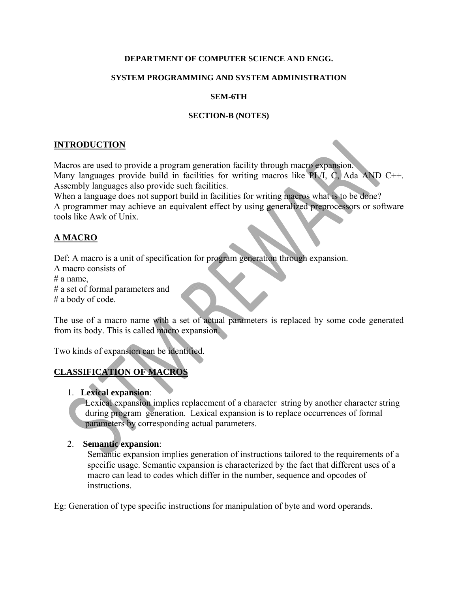#### **DEPARTMENT OF COMPUTER SCIENCE AND ENGG.**

#### **SYSTEM PROGRAMMING AND SYSTEM ADMINISTRATION**

#### **SEM-6TH**

#### **SECTION-B (NOTES)**

### **INTRODUCTION**

Macros are used to provide a program generation facility through macro expansion. Many languages provide build in facilities for writing macros like PL/I, C, Ada AND C++. Assembly languages also provide such facilities.

When a language does not support build in facilities for writing macros what is to be done? A programmer may achieve an equivalent effect by using generalized preprocessors or software tools like Awk of Unix.

## **A MACRO**

Def: A macro is a unit of specification for program generation through expansion.

A macro consists of  $# a$  name.

# a set of formal parameters and

# a body of code.

The use of a macro name with a set of actual parameters is replaced by some code generated from its body. This is called macro expansion.

Two kinds of expansion can be identified.

# **CLASSIFICATION OF MACROS**

## 1. **Lexical expansion**:

 Lexical expansion implies replacement of a character string by another character string during program generation. Lexical expansion is to replace occurrences of formal parameters by corresponding actual parameters.

## 2. **Semantic expansion**:

 Semantic expansion implies generation of instructions tailored to the requirements of a specific usage. Semantic expansion is characterized by the fact that different uses of a macro can lead to codes which differ in the number, sequence and opcodes of instructions.

Eg: Generation of type specific instructions for manipulation of byte and word operands.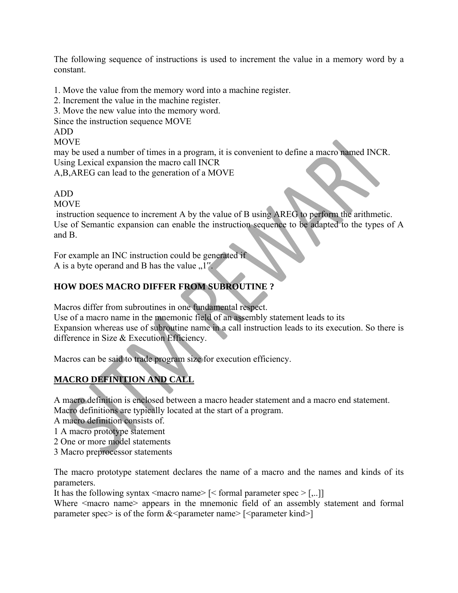The following sequence of instructions is used to increment the value in a memory word by a constant.

1. Move the value from the memory word into a machine register.

2. Increment the value in the machine register.

3. Move the new value into the memory word.

Since the instruction sequence MOVE

ADD

**MOVE** 

may be used a number of times in a program, it is convenient to define a macro named INCR. Using Lexical expansion the macro call INCR

A,B,AREG can lead to the generation of a MOVE

ADD

**MOVE** 

 instruction sequence to increment A by the value of B using AREG to perform the arithmetic. Use of Semantic expansion can enable the instruction sequence to be adapted to the types of A and B.

For example an INC instruction could be generated if A is a byte operand and B has the value  $.1$ ".

## **HOW DOES MACRO DIFFER FROM SUBROUTINE ?**

Macros differ from subroutines in one fundamental respect.

Use of a macro name in the mnemonic field of an assembly statement leads to its Expansion whereas use of subroutine name in a call instruction leads to its execution. So there is difference in Size & Execution Efficiency.

Macros can be said to trade program size for execution efficiency.

# **MACRO DEFINITION AND CALL**

A macro definition is enclosed between a macro header statement and a macro end statement. Macro definitions are typically located at the start of a program.

A macro definition consists of.

- 1 A macro prototype statement
- 2 One or more model statements
- 3 Macro preprocessor statements

The macro prototype statement declares the name of a macro and the names and kinds of its parameters.

It has the following syntax  $\langle \text{macro name} \rangle$  [ $\langle \text{formal parameter spec} \rangle$  [,..]]

Where  $\leq$  macro name appears in the mnemonic field of an assembly statement and formal parameter spec> is of the form  $<$  parameter name> [ $<$  parameter kind>]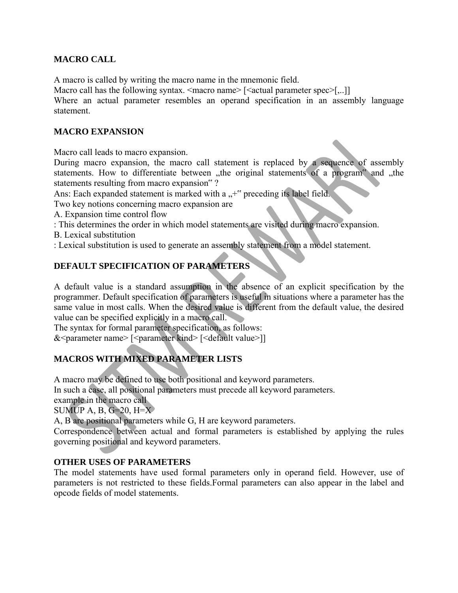## **MACRO CALL**

A macro is called by writing the macro name in the mnemonic field.

Macro call has the following syntax.  $\langle \text{macro name} \rangle$  [ $\langle \text{actual parameter spec} \rangle$ [...]]

Where an actual parameter resembles an operand specification in an assembly language statement.

## **MACRO EXPANSION**

Macro call leads to macro expansion.

During macro expansion, the macro call statement is replaced by a sequence of assembly statements. How to differentiate between "the original statements of a program" and "the statements resulting from macro expansion" ?

Ans: Each expanded statement is marked with a  $, +$ " preceding its label field.

Two key notions concerning macro expansion are

A. Expansion time control flow

: This determines the order in which model statements are visited during macro expansion.

B. Lexical substitution

: Lexical substitution is used to generate an assembly statement from a model statement.

## **DEFAULT SPECIFICATION OF PARAMETERS**

A default value is a standard assumption in the absence of an explicit specification by the programmer. Default specification of parameters is useful in situations where a parameter has the same value in most calls. When the desired value is different from the default value, the desired value can be specified explicitly in a macro call.

The syntax for formal parameter specification, as follows:

&<parameter name> [<parameter kind> [<default value>]]

# **MACROS WITH MIXED PARAMETER LISTS**

A macro may be defined to use both positional and keyword parameters. In such a case, all positional parameters must precede all keyword parameters. example in the macro call SUMUP A, B,  $G=20$ ,  $H=X$ 

A, B are positional parameters while G, H are keyword parameters.

Correspondence between actual and formal parameters is established by applying the rules governing positional and keyword parameters.

## **OTHER USES OF PARAMETERS**

The model statements have used formal parameters only in operand field. However, use of parameters is not restricted to these fields.Formal parameters can also appear in the label and opcode fields of model statements.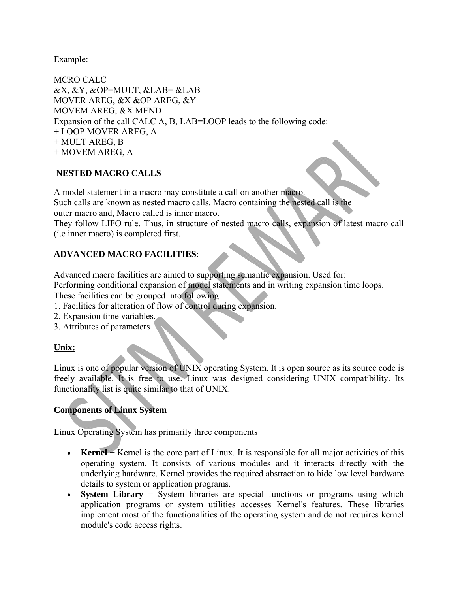Example:

MCRO CALC &X, &Y, &OP=MULT, &LAB= &LAB MOVER AREG, &X &OP AREG, &Y MOVEM AREG, &X MEND Expansion of the call CALC A, B, LAB=LOOP leads to the following code: + LOOP MOVER AREG, A + MULT AREG, B + MOVEM AREG, A

## **NESTED MACRO CALLS**

A model statement in a macro may constitute a call on another macro. Such calls are known as nested macro calls. Macro containing the nested call is the

outer macro and, Macro called is inner macro.

They follow LIFO rule. Thus, in structure of nested macro calls, expansion of latest macro call (i.e inner macro) is completed first.

## **ADVANCED MACRO FACILITIES**:

Advanced macro facilities are aimed to supporting semantic expansion. Used for:

Performing conditional expansion of model statements and in writing expansion time loops.

- These facilities can be grouped into following.
- 1. Facilities for alteration of flow of control during expansion.
- 2. Expansion time variables.
- 3. Attributes of parameters

## **Unix:**

Linux is one of popular version of UNIX operating System. It is open source as its source code is freely available. It is free to use. Linux was designed considering UNIX compatibility. Its functionality list is quite similar to that of UNIX.

# **Components of Linux System**

Linux Operating System has primarily three components

- **Kernel** − Kernel is the core part of Linux. It is responsible for all major activities of this operating system. It consists of various modules and it interacts directly with the underlying hardware. Kernel provides the required abstraction to hide low level hardware details to system or application programs.
- **System Library** − System libraries are special functions or programs using which application programs or system utilities accesses Kernel's features. These libraries implement most of the functionalities of the operating system and do not requires kernel module's code access rights.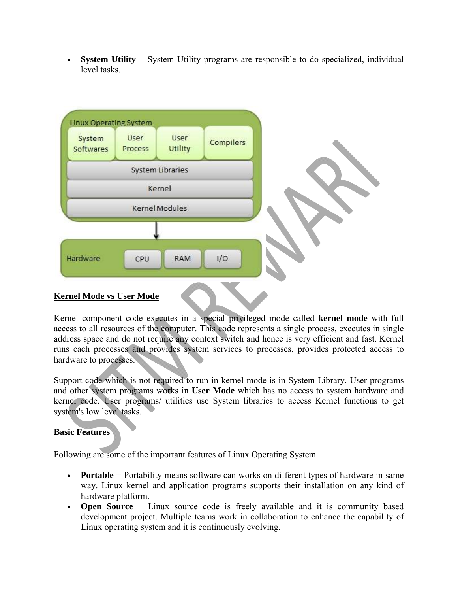**System Utility** − System Utility programs are responsible to do specialized, individual level tasks.



Kernel component code executes in a special privileged mode called **kernel mode** with full access to all resources of the computer. This code represents a single process, executes in single address space and do not require any context switch and hence is very efficient and fast. Kernel runs each processes and provides system services to processes, provides protected access to hardware to processes.

Support code which is not required to run in kernel mode is in System Library. User programs and other system programs works in **User Mode** which has no access to system hardware and kernel code. User programs/ utilities use System libraries to access Kernel functions to get system's low level tasks.

#### **Basic Features**

Following are some of the important features of Linux Operating System.

- **Portable** − Portability means software can works on different types of hardware in same way. Linux kernel and application programs supports their installation on any kind of hardware platform.
- **Open Source** − Linux source code is freely available and it is community based development project. Multiple teams work in collaboration to enhance the capability of Linux operating system and it is continuously evolving.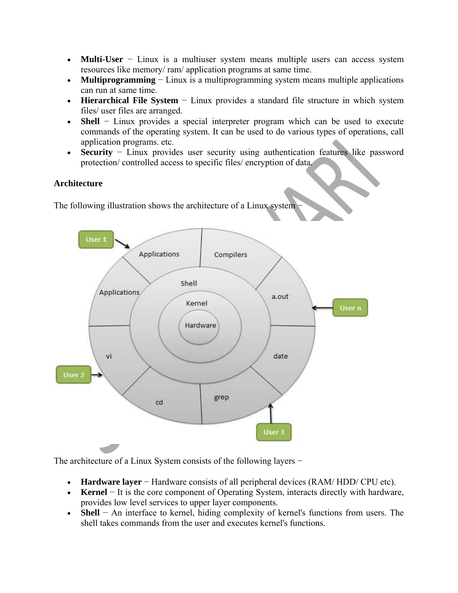- **Multi-User** − Linux is a multiuser system means multiple users can access system resources like memory/ ram/ application programs at same time.
- **Multiprogramming** − Linux is a multiprogramming system means multiple applications can run at same time.
- **Hierarchical File System** − Linux provides a standard file structure in which system files/ user files are arranged.
- **Shell** − Linux provides a special interpreter program which can be used to execute commands of the operating system. It can be used to do various types of operations, call application programs. etc.
- **Security** − Linux provides user security using authentication features like password protection/ controlled access to specific files/ encryption of data.

## **Architecture**

The following illustration shows the architecture of a Linux system



The architecture of a Linux System consists of the following layers −

- **Hardware layer** − Hardware consists of all peripheral devices (RAM/ HDD/ CPU etc).
- **Kernel** − It is the core component of Operating System, interacts directly with hardware, provides low level services to upper layer components.
- **Shell** − An interface to kernel, hiding complexity of kernel's functions from users. The shell takes commands from the user and executes kernel's functions.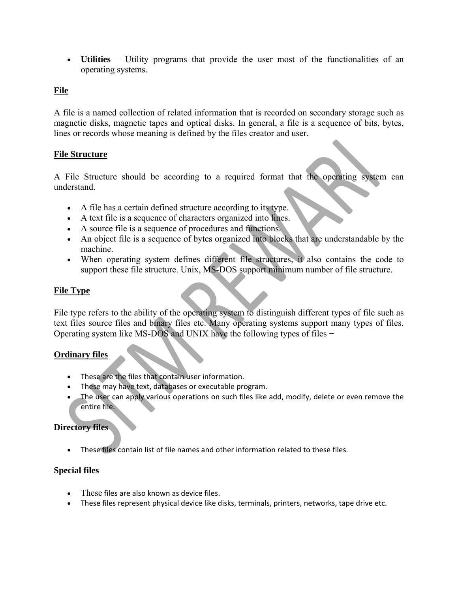**Utilities** − Utility programs that provide the user most of the functionalities of an operating systems.

## **File**

A file is a named collection of related information that is recorded on secondary storage such as magnetic disks, magnetic tapes and optical disks. In general, a file is a sequence of bits, bytes, lines or records whose meaning is defined by the files creator and user.

## **File Structure**

A File Structure should be according to a required format that the operating system can understand.

- A file has a certain defined structure according to its type.
- A text file is a sequence of characters organized into lines.
- A source file is a sequence of procedures and functions.
- An object file is a sequence of bytes organized into blocks that are understandable by the machine.
- When operating system defines different file structures, it also contains the code to support these file structure. Unix, MS-DOS support minimum number of file structure.

## **File Type**

File type refers to the ability of the operating system to distinguish different types of file such as text files source files and binary files etc. Many operating systems support many types of files. Operating system like MS-DOS and UNIX have the following types of files −

## **Ordinary files**

- These are the files that contain user information.
- These may have text, databases or executable program.
- The user can apply various operations on such files like add, modify, delete or even remove the entire file.

## **Directory files**

These files contain list of file names and other information related to these files.

## **Special files**

- These files are also known as device files.
- These files represent physical device like disks, terminals, printers, networks, tape drive etc.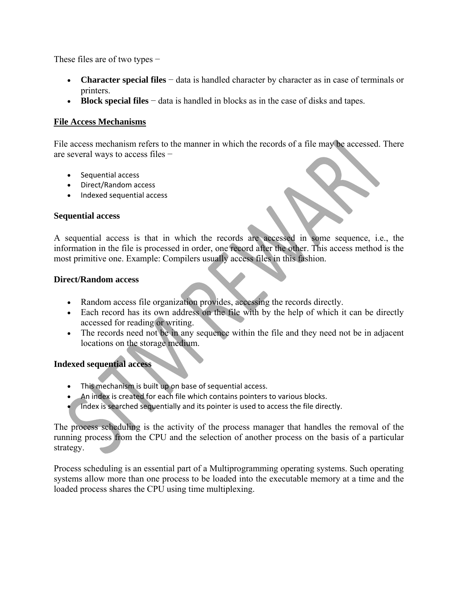These files are of two types −

- **Character special files** − data is handled character by character as in case of terminals or printers.
- **Block special files** − data is handled in blocks as in the case of disks and tapes.

## **File Access Mechanisms**

File access mechanism refers to the manner in which the records of a file may be accessed. There are several ways to access files −

- Sequential access
- Direct/Random access
- Indexed sequential access

## **Sequential access**

A sequential access is that in which the records are accessed in some sequence, i.e., the information in the file is processed in order, one record after the other. This access method is the most primitive one. Example: Compilers usually access files in this fashion.

### **Direct/Random access**

- Random access file organization provides, accessing the records directly.
- Each record has its own address on the file with by the help of which it can be directly accessed for reading or writing.
- The records need not be in any sequence within the file and they need not be in adjacent locations on the storage medium.

## **Indexed sequential access**

- This mechanism is built up on base of sequential access.
- An index is created for each file which contains pointers to various blocks.
- Index is searched sequentially and its pointer is used to access the file directly.

The process scheduling is the activity of the process manager that handles the removal of the running process from the CPU and the selection of another process on the basis of a particular strategy.

Process scheduling is an essential part of a Multiprogramming operating systems. Such operating systems allow more than one process to be loaded into the executable memory at a time and the loaded process shares the CPU using time multiplexing.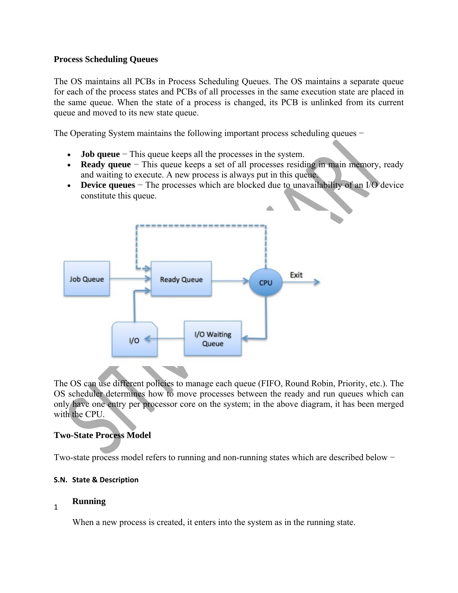## **Process Scheduling Queues**

The OS maintains all PCBs in Process Scheduling Queues. The OS maintains a separate queue for each of the process states and PCBs of all processes in the same execution state are placed in the same queue. When the state of a process is changed, its PCB is unlinked from its current queue and moved to its new state queue.

The Operating System maintains the following important process scheduling queues −

- **Job queue** − This queue keeps all the processes in the system.
- **Ready queue** − This queue keeps a set of all processes residing in main memory, ready and waiting to execute. A new process is always put in this queue.
- **Device queues** − The processes which are blocked due to unavailability of an I/O device constitute this queue.



The OS can use different policies to manage each queue (FIFO, Round Robin, Priority, etc.). The OS scheduler determines how to move processes between the ready and run queues which can only have one entry per processor core on the system; in the above diagram, it has been merged with the CPU.

## **Two-State Process Model**

Two-state process model refers to running and non-running states which are described below −

## **S.N. State & Description**

# <sup>1</sup> **Running**

When a new process is created, it enters into the system as in the running state.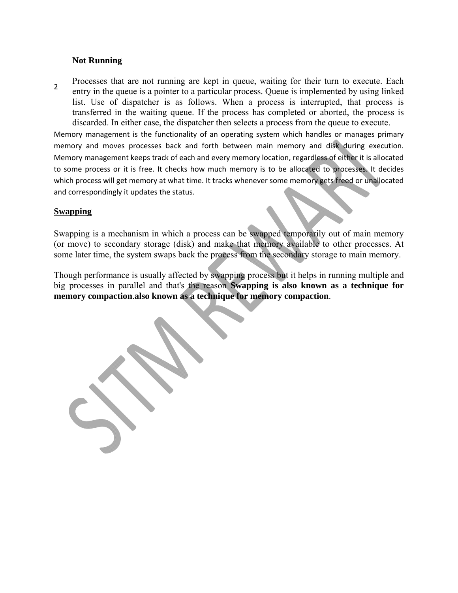#### **Not Running**

2 Processes that are not running are kept in queue, waiting for their turn to execute. Each entry in the queue is a pointer to a particular process. Queue is implemented by using linked list. Use of dispatcher is as follows. When a process is interrupted, that process is transferred in the waiting queue. If the process has completed or aborted, the process is discarded. In either case, the dispatcher then selects a process from the queue to execute.

Memory management is the functionality of an operating system which handles or manages primary memory and moves processes back and forth between main memory and disk during execution. Memory management keeps track of each and every memory location, regardless of either it is allocated to some process or it is free. It checks how much memory is to be allocated to processes. It decides which process will get memory at what time. It tracks whenever some memory gets freed or unallocated and correspondingly it updates the status.

#### **Swapping**

Swapping is a mechanism in which a process can be swapped temporarily out of main memory (or move) to secondary storage (disk) and make that memory available to other processes. At some later time, the system swaps back the process from the secondary storage to main memory.

Though performance is usually affected by swapping process but it helps in running multiple and big processes in parallel and that's the reason **Swapping is also known as a technique for memory compaction**.**also known as a technique for memory compaction**.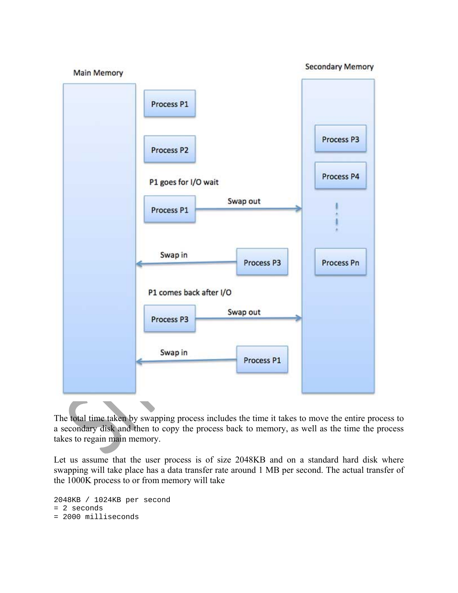

The total time taken by swapping process includes the time it takes to move the entire process to a secondary disk and then to copy the process back to memory, as well as the time the process takes to regain main memory.

Let us assume that the user process is of size 2048KB and on a standard hard disk where swapping will take place has a data transfer rate around 1 MB per second. The actual transfer of the 1000K process to or from memory will take

```
2048KB / 1024KB per second 
= 2 seconds 
= 2000 milliseconds
```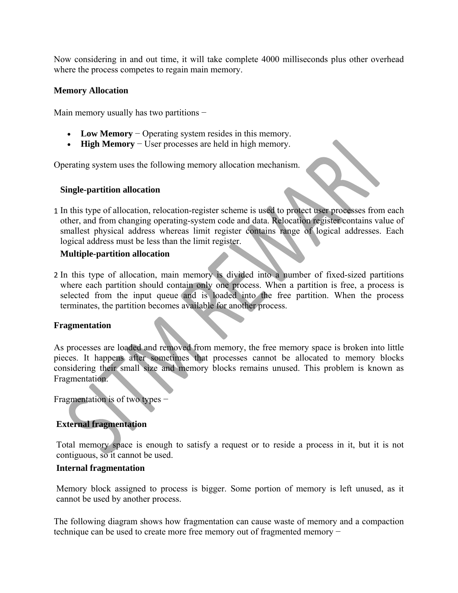Now considering in and out time, it will take complete 4000 milliseconds plus other overhead where the process competes to regain main memory.

#### **Memory Allocation**

Main memory usually has two partitions –

- **Low Memory** − Operating system resides in this memory.
- **High Memory** − User processes are held in high memory.

Operating system uses the following memory allocation mechanism.

#### **Single-partition allocation**

1 In this type of allocation, relocation-register scheme is used to protect user processes from each other, and from changing operating-system code and data. Relocation register contains value of smallest physical address whereas limit register contains range of logical addresses. Each logical address must be less than the limit register.

#### **Multiple-partition allocation**

2 In this type of allocation, main memory is divided into a number of fixed-sized partitions where each partition should contain only one process. When a partition is free, a process is selected from the input queue and is loaded into the free partition. When the process terminates, the partition becomes available for another process.

#### **Fragmentation**

As processes are loaded and removed from memory, the free memory space is broken into little pieces. It happens after sometimes that processes cannot be allocated to memory blocks considering their small size and memory blocks remains unused. This problem is known as Fragmentation.

Fragmentation is of two types −

## **External fragmentation**

Total memory space is enough to satisfy a request or to reside a process in it, but it is not contiguous, so it cannot be used.

#### **Internal fragmentation**

Memory block assigned to process is bigger. Some portion of memory is left unused, as it cannot be used by another process.

The following diagram shows how fragmentation can cause waste of memory and a compaction technique can be used to create more free memory out of fragmented memory −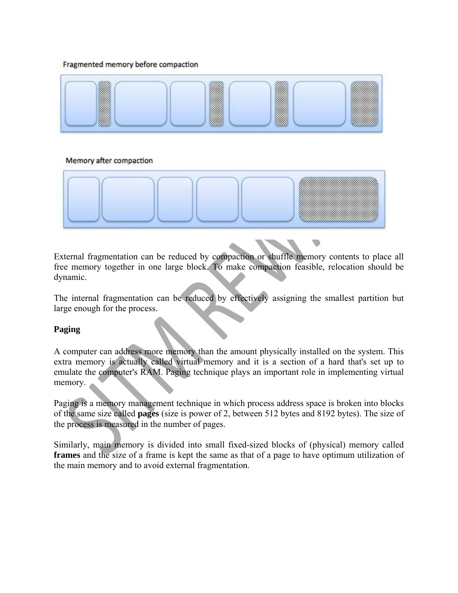#### Fragmented memory before compaction



#### Memory after compaction



External fragmentation can be reduced by compaction or shuffle memory contents to place all free memory together in one large block. To make compaction feasible, relocation should be dynamic.

The internal fragmentation can be reduced by effectively assigning the smallest partition but large enough for the process.

#### **Paging**

A computer can address more memory than the amount physically installed on the system. This extra memory is actually called virtual memory and it is a section of a hard that's set up to emulate the computer's RAM. Paging technique plays an important role in implementing virtual memory.

Paging is a memory management technique in which process address space is broken into blocks of the same size called **pages** (size is power of 2, between 512 bytes and 8192 bytes). The size of the process is measured in the number of pages.

Similarly, main memory is divided into small fixed-sized blocks of (physical) memory called **frames** and the size of a frame is kept the same as that of a page to have optimum utilization of the main memory and to avoid external fragmentation.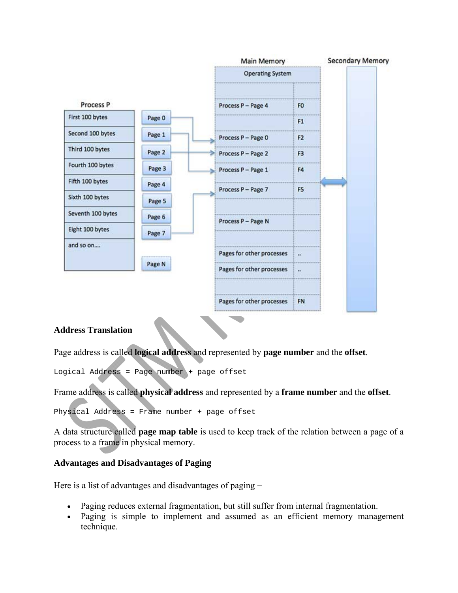

#### **Address Translation**

Page address is called **logical address** and represented by **page number** and the **offset**.

Logical Address = Page number + page offset

Frame address is called **physical address** and represented by a **frame number** and the **offset**.

Physical Address = Frame number + page offset

A data structure called **page map table** is used to keep track of the relation between a page of a process to a frame in physical memory.

#### **Advantages and Disadvantages of Paging**

Here is a list of advantages and disadvantages of paging –

- Paging reduces external fragmentation, but still suffer from internal fragmentation.
- Paging is simple to implement and assumed as an efficient memory management technique.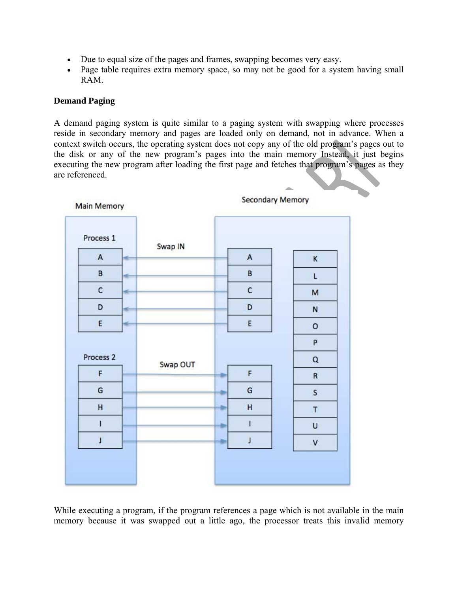- Due to equal size of the pages and frames, swapping becomes very easy.
- Page table requires extra memory space, so may not be good for a system having small RAM.

### **Demand Paging**

A demand paging system is quite similar to a paging system with swapping where processes reside in secondary memory and pages are loaded only on demand, not in advance. When a context switch occurs, the operating system does not copy any of the old program's pages out to the disk or any of the new program's pages into the main memory Instead, it just begins executing the new program after loading the first page and fetches that program's pages as they are referenced.

| <b>Main Memory</b>   | <b>Secondary Memory</b> |              |              |
|----------------------|-------------------------|--------------|--------------|
| Process 1            | Swap IN                 |              |              |
| $\mathsf A$<br>÷     |                         | A            | $\kappa$     |
| B<br>÷               |                         | B            | L            |
| $\mathsf{C}$<br>÷    |                         | c            | M            |
| D<br>×.              |                         | D            | ${\sf N}$    |
| E<br>÷               |                         | E            | $\mathsf{o}$ |
|                      |                         |              | P            |
| Process <sub>2</sub> | Swap OUT                |              | $\mathsf Q$  |
| F                    |                         | F<br>۰       | ${\sf R}$    |
| G                    |                         | G            | $\mathsf{s}$ |
| H                    |                         | H<br>a.      | $\mathsf T$  |
| $\mathbf{I}$         |                         | $\mathbf{I}$ | U            |
| J                    |                         | J            | $\sf V$      |
|                      |                         |              |              |
|                      |                         |              |              |

While executing a program, if the program references a page which is not available in the main memory because it was swapped out a little ago, the processor treats this invalid memory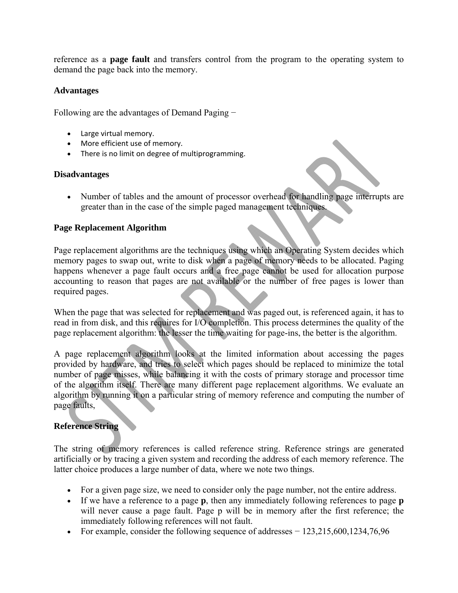reference as a **page fault** and transfers control from the program to the operating system to demand the page back into the memory.

### **Advantages**

Following are the advantages of Demand Paging −

- Large virtual memory.
- More efficient use of memory.
- There is no limit on degree of multiprogramming.

#### **Disadvantages**

• Number of tables and the amount of processor overhead for handling page interrupts are greater than in the case of the simple paged management techniques.

### **Page Replacement Algorithm**

Page replacement algorithms are the techniques using which an Operating System decides which memory pages to swap out, write to disk when a page of memory needs to be allocated. Paging happens whenever a page fault occurs and a free page cannot be used for allocation purpose accounting to reason that pages are not available or the number of free pages is lower than required pages.

When the page that was selected for replacement and was paged out, is referenced again, it has to read in from disk, and this requires for I/O completion. This process determines the quality of the page replacement algorithm: the lesser the time waiting for page-ins, the better is the algorithm.

A page replacement algorithm looks at the limited information about accessing the pages provided by hardware, and tries to select which pages should be replaced to minimize the total number of page misses, while balancing it with the costs of primary storage and processor time of the algorithm itself. There are many different page replacement algorithms. We evaluate an algorithm by running it on a particular string of memory reference and computing the number of page faults,

## **Reference String**

The string of memory references is called reference string. Reference strings are generated artificially or by tracing a given system and recording the address of each memory reference. The latter choice produces a large number of data, where we note two things.

- For a given page size, we need to consider only the page number, not the entire address.
- If we have a reference to a page **p**, then any immediately following references to page **p** will never cause a page fault. Page p will be in memory after the first reference; the immediately following references will not fault.
- For example, consider the following sequence of addresses  $-123,215,600,1234,76,96$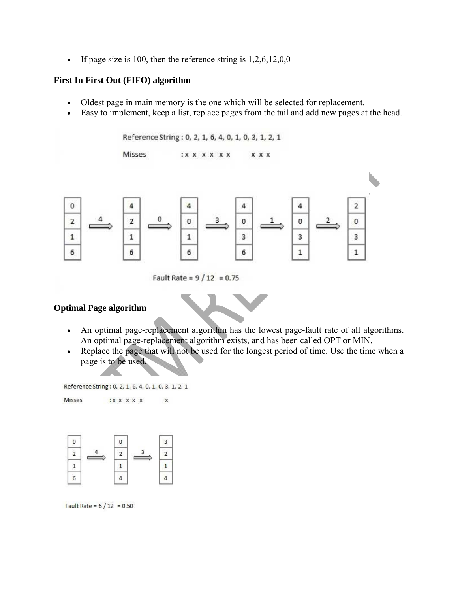If page size is 100, then the reference string is  $1,2,6,12,0,0$ 

#### **First In First Out (FIFO) algorithm**

- Oldest page in main memory is the one which will be selected for replacement.
- Easy to implement, keep a list, replace pages from the tail and add new pages at the head.

```
Reference String: 0, 2, 1, 6, 4, 0, 1, 0, 3, 1, 2, 1
                         Misses
                                                     :X X X X X Xx x x
                                                                                                                                                 ł.
                                                                                                                                          \overline{2}\bf{0}4
                                                         4
                                                                                   4
                                                                                                               4
\overline{2}\overline{2}0
                                                                                   0
                                                                                                               0
                                                                                                                                          0
                                                         \overline{1}3
                                                                                                                                          3
\mathbf{1}3
                            \mathbf{1}6
                            6
                                                                                   6
                                                                                                               \mathbf{1}\mathbf{1}6
```

```
Fault Rate = 9/12 = 0.75
```
## **Optimal Page algorithm**

Misses

- An optimal page-replacement algorithm has the lowest page-fault rate of all algorithms. An optimal page-replacement algorithm exists, and has been called OPT or MIN.
- Replace the page that will not be used for the longest period of time. Use the time when a page is to be used.

```
Reference String: 0, 2, 1, 6, 4, 0, 1, 0, 3, 1, 2, 1
                 : x x x x x
```
 $\mathsf{x}$ 

e.



Fault Rate =  $6/12 = 0.50$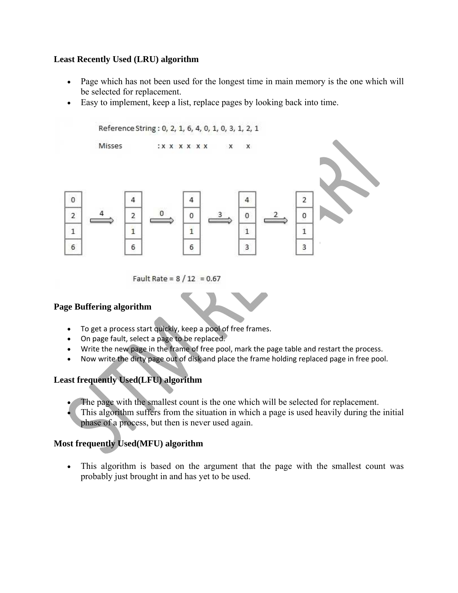## **Least Recently Used (LRU) algorithm**

- Page which has not been used for the longest time in main memory is the one which will be selected for replacement.
- Easy to implement, keep a list, replace pages by looking back into time.



Fault Rate =  $8/12 = 0.67$ 

## **Page Buffering algorithm**

- To get a process start quickly, keep a pool of free frames.
- On page fault, select a page to be replaced.
- Write the new page in the frame of free pool, mark the page table and restart the process.
- Now write the dirty page out of disk and place the frame holding replaced page in free pool.

## **Least frequently Used(LFU) algorithm**

- The page with the smallest count is the one which will be selected for replacement.
- This algorithm suffers from the situation in which a page is used heavily during the initial phase of a process, but then is never used again.

## **Most frequently Used(MFU) algorithm**

 This algorithm is based on the argument that the page with the smallest count was probably just brought in and has yet to be used.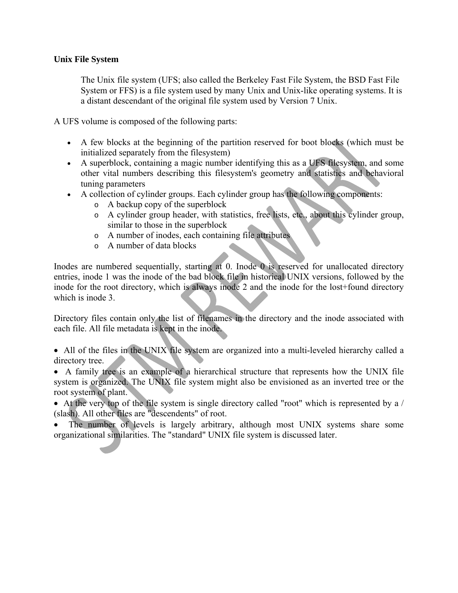### **Unix File System**

The Unix file system (UFS; also called the Berkeley Fast File System, the BSD Fast File System or FFS) is a file system used by many Unix and Unix-like operating systems. It is a distant descendant of the original file system used by Version 7 Unix.

A UFS volume is composed of the following parts:

- A few blocks at the beginning of the partition reserved for boot blocks (which must be initialized separately from the filesystem)
- A superblock, containing a magic number identifying this as a UFS filesystem, and some other vital numbers describing this filesystem's geometry and statistics and behavioral tuning parameters
- A collection of cylinder groups. Each cylinder group has the following components:
	- o A backup copy of the superblock
	- o A cylinder group header, with statistics, free lists, etc., about this cylinder group, similar to those in the superblock
	- o A number of inodes, each containing file attributes
	- o A number of data blocks

Inodes are numbered sequentially, starting at 0. Inode 0 is reserved for unallocated directory entries, inode 1 was the inode of the bad block file in historical UNIX versions, followed by the inode for the root directory, which is always inode 2 and the inode for the lost+found directory which is inode 3.

Directory files contain only the list of filenames in the directory and the inode associated with each file. All file metadata is kept in the inode.

 All of the files in the UNIX file system are organized into a multi-leveled hierarchy called a directory tree.

 A family tree is an example of a hierarchical structure that represents how the UNIX file system is organized. The UNIX file system might also be envisioned as an inverted tree or the root system of plant.

 At the very top of the file system is single directory called "root" which is represented by a / (slash). All other files are "descendents" of root.

 The number of levels is largely arbitrary, although most UNIX systems share some organizational similarities. The "standard" UNIX file system is discussed later.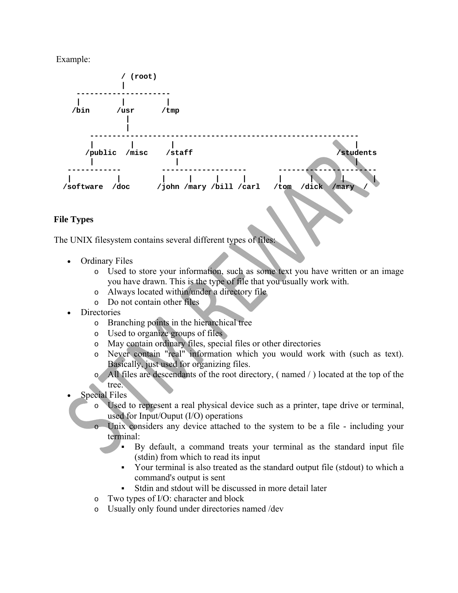Example:



## **File Types**

The UNIX filesystem contains several different types of files:

- Ordinary Files
	- o Used to store your information, such as some text you have written or an image you have drawn. This is the type of file that you usually work with.
	- o Always located within/under a directory file
	- o Do not contain other files
- **Directories** 
	- o Branching points in the hierarchical tree
	- o Used to organize groups of files
	- o May contain ordinary files, special files or other directories
	- o Never contain "real" information which you would work with (such as text). Basically, just used for organizing files.
	- o All files are descendants of the root directory, ( named / ) located at the top of the tree.
- Special Files
	- o Used to represent a real physical device such as a printer, tape drive or terminal, used for Input/Ouput (I/O) operations
	- o Unix considers any device attached to the system to be a file including your terminal:
		- By default, a command treats your terminal as the standard input file (stdin) from which to read its input
		- Your terminal is also treated as the standard output file (stdout) to which a command's output is sent
		- Stdin and stdout will be discussed in more detail later
	- o Two types of I/O: character and block
	- o Usually only found under directories named /dev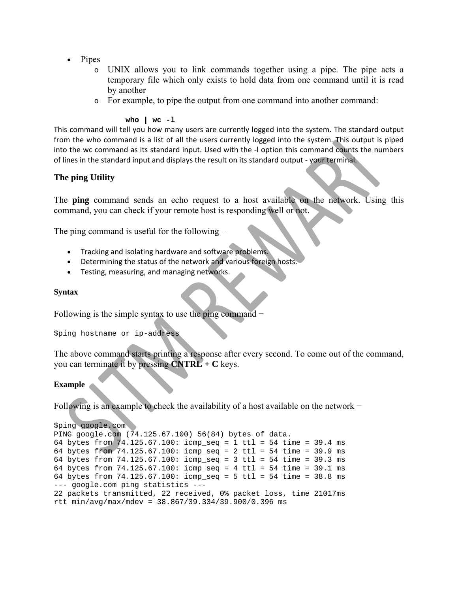- Pipes
	- o UNIX allows you to link commands together using a pipe. The pipe acts a temporary file which only exists to hold data from one command until it is read by another
	- o For example, to pipe the output from one command into another command:

#### **who | wc -l**

This command will tell you how many users are currently logged into the system. The standard output from the who command is a list of all the users currently logged into the system. This output is piped into the wc command as its standard input. Used with the ‐l option this command counts the numbers of lines in the standard input and displays the result on its standard output ‐ your terminal.

#### **The ping Utility**

The **ping** command sends an echo request to a host available on the network. Using this command, you can check if your remote host is responding well or not.

The ping command is useful for the following −

- Tracking and isolating hardware and software problems.
- Determining the status of the network and various foreign hosts.
- Testing, measuring, and managing networks.

#### **Syntax**

Following is the simple syntax to use the ping command −

\$ping hostname or ip-address

The above command starts printing a response after every second. To come out of the command, you can terminate it by pressing **CNTRL + C** keys.

#### **Example**

Following is an example to check the availability of a host available on the network −

```
$ping google.com 
PING google.com (74.125.67.100) 56(84) bytes of data. 
64 bytes from 74.125.67.100: icmp_seq = 1 ttl = 54 time = 39.4 ms 
64 bytes from 74.125.67.100: icmp_seq = 2 ttl = 54 time = 39.9 ms 
64 bytes from 74.125.67.100: icmp_seq = 3 ttl = 54 time = 39.3 ms 
64 bytes from 74.125.67.100: icmp seq = 4 ttl = 54 time = 39.1 ms
64 bytes from 74.125.67.100: icmp_seq = 5 ttl = 54 time = 38.8 ms 
--- google.com ping statistics --- 
22 packets transmitted, 22 received, 0% packet loss, time 21017ms 
rtt min/avg/max/mdev = 38.867/39.334/39.900/0.396 ms
```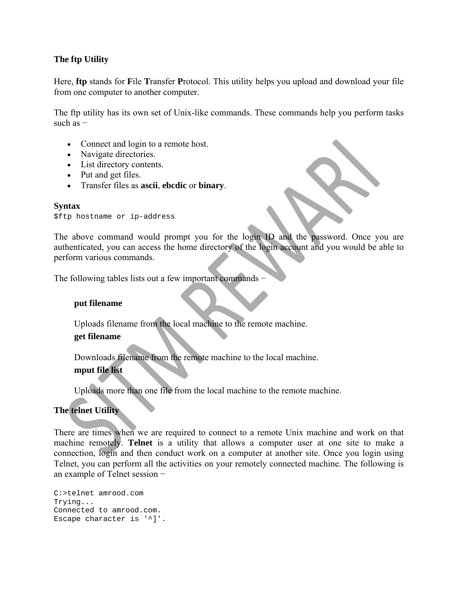## **The ftp Utility**

Here, **ftp** stands for **F**ile **T**ransfer **P**rotocol. This utility helps you upload and download your file from one computer to another computer.

The ftp utility has its own set of Unix-like commands. These commands help you perform tasks such as −

- Connect and login to a remote host.
- Navigate directories.
- List directory contents.
- Put and get files.
- Transfer files as **ascii**, **ebcdic** or **binary**.

#### **Syntax**

\$ftp hostname or ip-address

The above command would prompt you for the login ID and the password. Once you are authenticated, you can access the home directory of the login account and you would be able to perform various commands.

The following tables lists out a few important commands −

#### **put filename**

Uploads filename from the local machine to the remote machine.

#### **get filename**

Downloads filename from the remote machine to the local machine.

## **mput file list**

Uploads more than one file from the local machine to the remote machine.

## **The telnet Utility**

There are times when we are required to connect to a remote Unix machine and work on that machine remotely. **Telnet** is a utility that allows a computer user at one site to make a connection, login and then conduct work on a computer at another site. Once you login using Telnet, you can perform all the activities on your remotely connected machine. The following is an example of Telnet session −

```
C:>telnet amrood.com 
Trying... 
Connected to amrood.com. 
Escape character is '^]'.
```